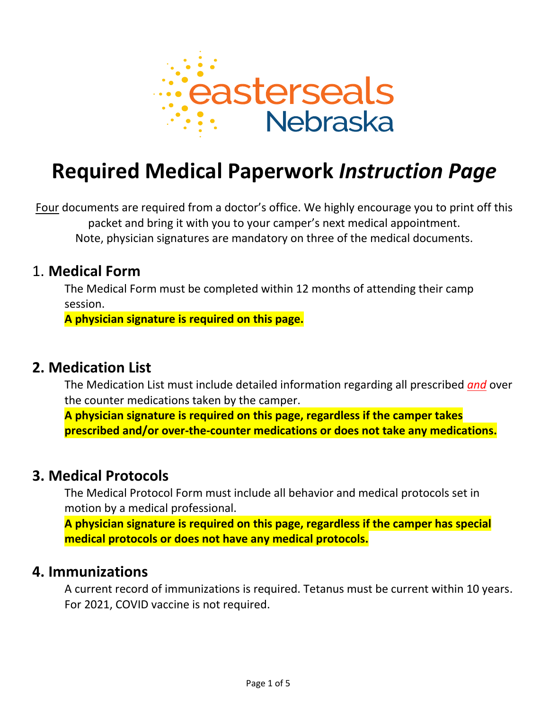

# **Required Medical Paperwork** *Instruction Page*

Four documents are required from a doctor's office. We highly encourage you to print off this packet and bring it with you to your camper's next medical appointment. Note, physician signatures are mandatory on three of the medical documents.

### 1. **Medical Form**

The Medical Form must be completed within 12 months of attending their camp session.

**A physician signature is required on this page.**

# **2. Medication List**

The Medication List must include detailed information regarding all prescribed *and* over the counter medications taken by the camper.

**A physician signature is required on this page, regardless if the camper takes prescribed and/or over-the-counter medications or does not take any medications.**

# **3. Medical Protocols**

The Medical Protocol Form must include all behavior and medical protocols set in motion by a medical professional.

**A physician signature is required on this page, regardless if the camper has special medical protocols or does not have any medical protocols.**

### **4. Immunizations**

A current record of immunizations is required. Tetanus must be current within 10 years. For 2021, COVID vaccine is not required.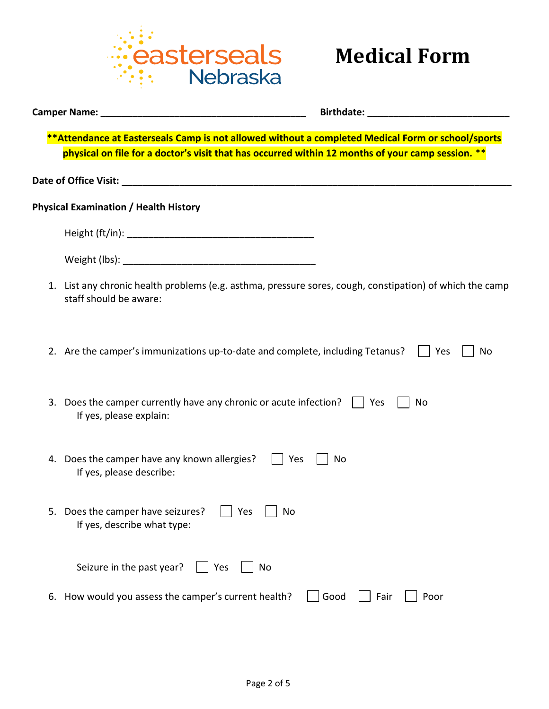

| <b>Camper Name:</b> The Campaign Campaign Campaign Campaign Campaign Campaign Campaign Campaign Campaign Campaign Campaign Campaign Campaign Campaign Campaign Campaign Campaign Campaign Campaign Campaign Campaign Campaign Campa | <b>Birthdate: Example 2018</b> |
|-------------------------------------------------------------------------------------------------------------------------------------------------------------------------------------------------------------------------------------|--------------------------------|
| **Attendance at Easterseals Camp is not allowed without a completed Medical Form or school/sports<br>physical on file for a doctor's visit that has occurred within 12 months of your camp session. **                              |                                |
|                                                                                                                                                                                                                                     |                                |
| <b>Physical Examination / Health History</b>                                                                                                                                                                                        |                                |
|                                                                                                                                                                                                                                     |                                |
|                                                                                                                                                                                                                                     |                                |
|                                                                                                                                                                                                                                     |                                |
| 1. List any chronic health problems (e.g. asthma, pressure sores, cough, constipation) of which the camp<br>staff should be aware:                                                                                                  |                                |
| 2. Are the camper's immunizations up-to-date and complete, including Tetanus?                                                                                                                                                       | Yes<br>No                      |
| 3. Does the camper currently have any chronic or acute infection?     Yes<br>If yes, please explain:                                                                                                                                | No                             |
| 4. Does the camper have any known allergies?  <br>If yes, please describe:                                                                                                                                                          | Yes<br>No                      |
| Does the camper have seizures?<br>Yes<br>If yes, describe what type:                                                                                                                                                                | No                             |
| Seizure in the past year?<br>Yes<br>No                                                                                                                                                                                              |                                |
| How would you assess the camper's current health?<br>6.                                                                                                                                                                             | Good<br>Fair<br>Poor           |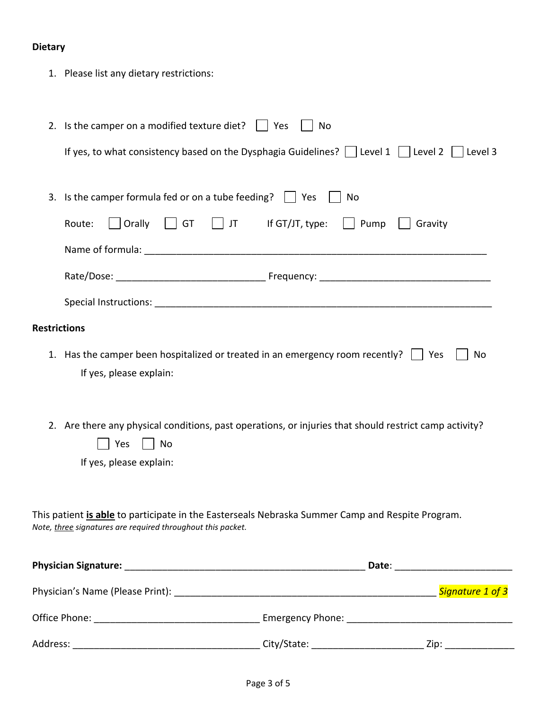### **Dietary**

1. Please list any dietary restrictions:

|                                                                                                                                                                 | 2. Is the camper on a modified texture diet? $\Box$ Yes<br>No                                                                                  |  |  |  |
|-----------------------------------------------------------------------------------------------------------------------------------------------------------------|------------------------------------------------------------------------------------------------------------------------------------------------|--|--|--|
|                                                                                                                                                                 | If yes, to what consistency based on the Dysphagia Guidelines?     Level 1     Level 2     Level 3                                             |  |  |  |
|                                                                                                                                                                 | 3. Is the camper formula fed or on a tube feeding? $\Box$ Yes<br>No                                                                            |  |  |  |
|                                                                                                                                                                 | Orally<br>$\vert$ $\vert$ GT<br>If GT/JT, type:<br>$\vert$ Pump<br>Route:<br>$\vert$ JT<br>Gravity                                             |  |  |  |
|                                                                                                                                                                 |                                                                                                                                                |  |  |  |
|                                                                                                                                                                 |                                                                                                                                                |  |  |  |
|                                                                                                                                                                 |                                                                                                                                                |  |  |  |
| <b>Restrictions</b>                                                                                                                                             |                                                                                                                                                |  |  |  |
|                                                                                                                                                                 | 1. Has the camper been hospitalized or treated in an emergency room recently? $\vert \vert$ Yes<br>No<br>If yes, please explain:               |  |  |  |
|                                                                                                                                                                 | 2. Are there any physical conditions, past operations, or injuries that should restrict camp activity?<br>Yes<br>No<br>If yes, please explain: |  |  |  |
| This patient is able to participate in the Easterseals Nebraska Summer Camp and Respite Program.<br>Note, three signatures are required throughout this packet. |                                                                                                                                                |  |  |  |
|                                                                                                                                                                 |                                                                                                                                                |  |  |  |
|                                                                                                                                                                 |                                                                                                                                                |  |  |  |
|                                                                                                                                                                 |                                                                                                                                                |  |  |  |
|                                                                                                                                                                 |                                                                                                                                                |  |  |  |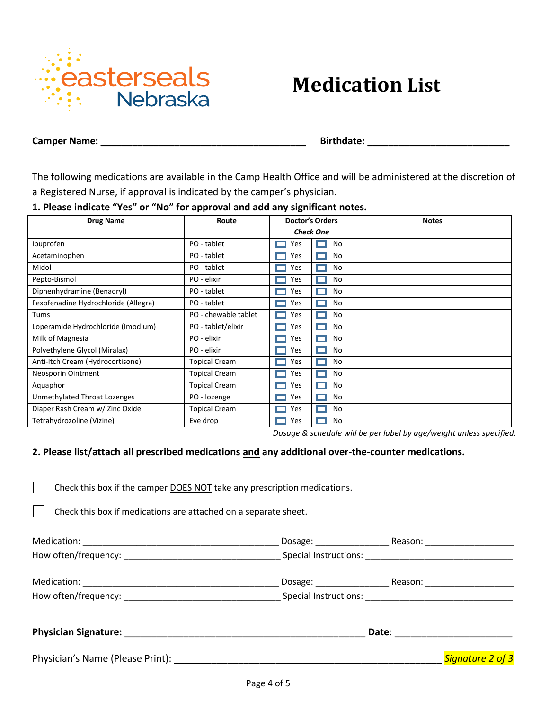

# **Medication List**

**Camper Name: \_\_\_\_\_\_\_\_\_\_\_\_\_\_\_\_\_\_\_\_\_\_\_\_\_\_\_\_\_\_\_\_\_\_\_\_\_\_\_ Birthdate: \_\_\_\_\_\_\_\_\_\_\_\_\_\_\_\_\_\_\_\_\_\_\_\_\_\_\_**

The following medications are available in the Camp Health Office and will be administered at the discretion of a Registered Nurse, if approval is indicated by the camper's physician.

#### **1. Please indicate "Yes" or "No" for approval and add any significant notes.**

| <b>Drug Name</b>                     | Route                | <b>Doctor's Orders</b> |    | <b>Notes</b> |
|--------------------------------------|----------------------|------------------------|----|--------------|
|                                      |                      | <b>Check One</b>       |    |              |
| Ibuprofen                            | PO - tablet          | Yes                    | No |              |
| Acetaminophen                        | PO - tablet          | Yes                    | No |              |
| Midol                                | PO - tablet          | Yes                    | No |              |
| Pepto-Bismol                         | PO - elixir          | Yes                    | No |              |
| Diphenhydramine (Benadryl)           | PO - tablet          | Yes                    | No |              |
| Fexofenadine Hydrochloride (Allegra) | PO - tablet          | Yes                    | No |              |
| Tums                                 | PO - chewable tablet | Yes                    | No |              |
| Loperamide Hydrochloride (Imodium)   | PO - tablet/elixir   | Yes                    | No |              |
| Milk of Magnesia                     | PO - elixir          | Yes                    | No |              |
| Polyethylene Glycol (Miralax)        | PO - elixir          | Yes                    | No |              |
| Anti-Itch Cream (Hydrocortisone)     | <b>Topical Cream</b> | Yes                    | No |              |
| Neosporin Ointment                   | <b>Topical Cream</b> | Yes                    | No |              |
| Aquaphor                             | <b>Topical Cream</b> | Yes                    | No |              |
| Unmethylated Throat Lozenges         | PO - lozenge         | Yes                    | No |              |
| Diaper Rash Cream w/ Zinc Oxide      | <b>Topical Cream</b> | Yes                    | No |              |
| Tetrahydrozoline (Vizine)            | Eye drop             | Yes                    | No |              |

*Dosage & schedule will be per label by age/weight unless specified.*

#### **2. Please list/attach all prescribed medications and any additional over-the-counter medications.**

Check this box if the camper DOES NOT take any prescription medications.

Check this box if medications are attached on a separate sheet.

| How often/frequency: example and the set of the Special Instructions: |                                                                                                                                                                                                                                |                  |
|-----------------------------------------------------------------------|--------------------------------------------------------------------------------------------------------------------------------------------------------------------------------------------------------------------------------|------------------|
|                                                                       |                                                                                                                                                                                                                                |                  |
|                                                                       |                                                                                                                                                                                                                                |                  |
|                                                                       | Date: the contract of the contract of the contract of the contract of the contract of the contract of the contract of the contract of the contract of the contract of the contract of the contract of the contract of the cont |                  |
| Physician's Name (Please Print):                                      |                                                                                                                                                                                                                                | Signature 2 of 3 |